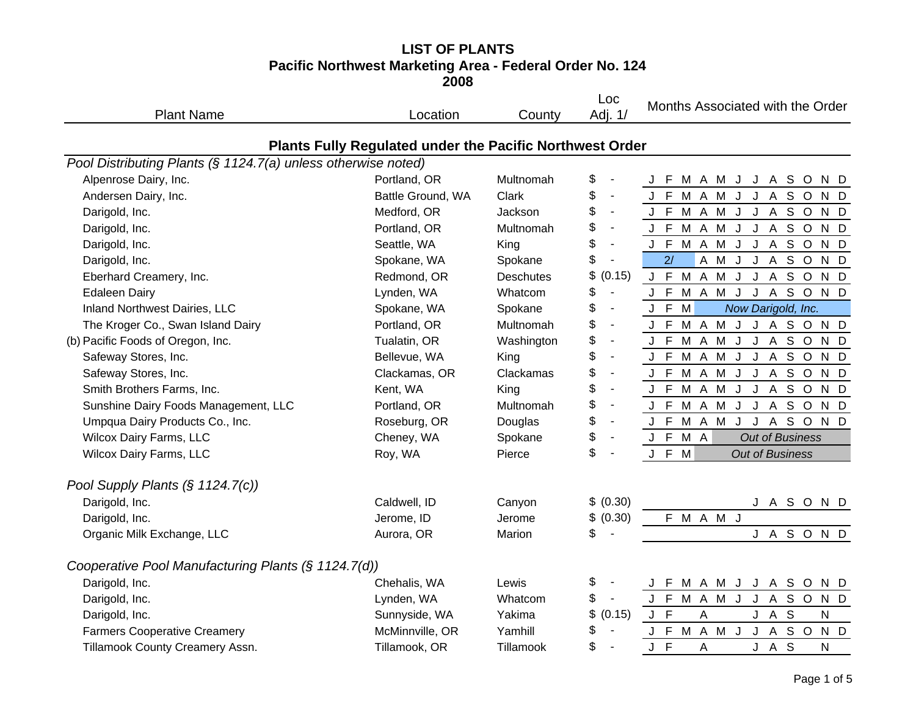#### **LIST OF PLANTS Pacific Northwest Marketing Area - Federal Order No. 124 2008**

| <b>Plant Name</b>                                             | Location                                                        | County           | Loc<br>Adj. 1/                 | Months Associated with the Order                                       |
|---------------------------------------------------------------|-----------------------------------------------------------------|------------------|--------------------------------|------------------------------------------------------------------------|
|                                                               | <b>Plants Fully Regulated under the Pacific Northwest Order</b> |                  |                                |                                                                        |
| Pool Distributing Plants (§ 1124.7(a) unless otherwise noted) |                                                                 |                  |                                |                                                                        |
| Alpenrose Dairy, Inc.                                         | Portland, OR                                                    | Multnomah        | \$                             | M A M J J A S O<br>J F<br>N D                                          |
| Andersen Dairy, Inc.                                          | Battle Ground, WA                                               | Clark            | \$<br>$\blacksquare$           | J F M A M J J A S O N D                                                |
| Darigold, Inc.                                                | Medford, OR                                                     | Jackson          | \$<br>$\blacksquare$           | J F M A M J J A S O N D                                                |
| Darigold, Inc.                                                | Portland, OR                                                    | Multnomah        | \$<br>$\blacksquare$           | J F M A M J J A S O<br>N D                                             |
| Darigold, Inc.                                                | Seattle, WA                                                     | King             | \$<br>$\blacksquare$           | J F M A M J<br>J A S O N D                                             |
| Darigold, Inc.                                                | Spokane, WA                                                     | Spokane          | \$<br>$\blacksquare$           | 2/<br>A M J J A S O N D                                                |
| Eberhard Creamery, Inc.                                       | Redmond, OR                                                     | <b>Deschutes</b> | \$<br>(0.15)                   | J F M A M J J A S O N D                                                |
| <b>Edaleen Dairy</b>                                          | Lynden, WA                                                      | Whatcom          | \$<br>$\blacksquare$           | ASOND<br>J F M A M J J                                                 |
| Inland Northwest Dairies, LLC                                 | Spokane, WA                                                     | Spokane          | \$<br>$\blacksquare$           | J F<br>M<br>Now Darigold, Inc.                                         |
| The Kroger Co., Swan Island Dairy                             | Portland, OR                                                    | Multnomah        | \$<br>$\blacksquare$           | J F M A M J J A S O N D                                                |
| (b) Pacific Foods of Oregon, Inc.                             | Tualatin, OR                                                    | Washington       | \$<br>$\overline{\phantom{a}}$ | J F M A M J J A S O N D                                                |
| Safeway Stores, Inc.                                          | Bellevue, WA                                                    | King             | \$<br>$\blacksquare$           | J A S O<br>J F M A M<br>$\mathsf{J}$<br>N D                            |
| Safeway Stores, Inc.                                          | Clackamas, OR                                                   | Clackamas        | \$<br>$\blacksquare$           | J F M A M J<br>J A S O N D                                             |
| Smith Brothers Farms, Inc.                                    | Kent, WA                                                        | King             | \$<br>$\overline{\phantom{a}}$ | J F M A M J J A<br>S O<br>N D                                          |
| Sunshine Dairy Foods Management, LLC                          | Portland, OR                                                    | Multnomah        | \$<br>$\overline{\phantom{a}}$ | J F M A M J J A S O N D                                                |
| Umpqua Dairy Products Co., Inc.                               | Roseburg, OR                                                    | Douglas          | \$<br>$\blacksquare$           | S O<br>J F M A M<br>J<br>$\boldsymbol{\mathsf{A}}$<br>$\sf J$<br>$N$ D |
| <b>Wilcox Dairy Farms, LLC</b>                                | Cheney, WA                                                      | Spokane          | \$<br>$\blacksquare$           | J F M A<br><b>Out of Business</b>                                      |
| Wilcox Dairy Farms, LLC                                       | Roy, WA                                                         | Pierce           | \$                             | J F M<br><b>Out of Business</b>                                        |
| Pool Supply Plants $(\S 1124.7(c))$                           |                                                                 |                  |                                |                                                                        |
| Darigold, Inc.                                                | Caldwell, ID                                                    | Canyon           | \$ (0.30)                      | J A S O N D                                                            |
| Darigold, Inc.                                                | Jerome, ID                                                      | Jerome           | \$ (0.30)                      | F M A M J                                                              |
| Organic Milk Exchange, LLC                                    | Aurora, OR                                                      | Marion           | \$                             | J A S O N D                                                            |
| Cooperative Pool Manufacturing Plants (§ 1124.7(d))           |                                                                 |                  |                                |                                                                        |
| Darigold, Inc.                                                | Chehalis, WA                                                    | Lewis            | \$                             | M A M J J A S O<br>J F<br>N D                                          |
| Darigold, Inc.                                                | Lynden, WA                                                      | Whatcom          | \$<br>$\blacksquare$           | J F M A M J J A S O N D                                                |
| Darigold, Inc.                                                | Sunnyside, WA                                                   | Yakima           | \$<br>(0.15)                   | $J$ $F$<br>A<br>J<br>A S<br>N                                          |
| <b>Farmers Cooperative Creamery</b>                           | McMinnville, OR                                                 | Yamhill          | \$                             | J A S O<br>J F<br>M A M J<br>N D                                       |
| Tillamook County Creamery Assn.                               | Tillamook, OR                                                   | Tillamook        | \$                             | $J$ F<br>A S<br>N<br>A<br>J                                            |
|                                                               |                                                                 |                  |                                |                                                                        |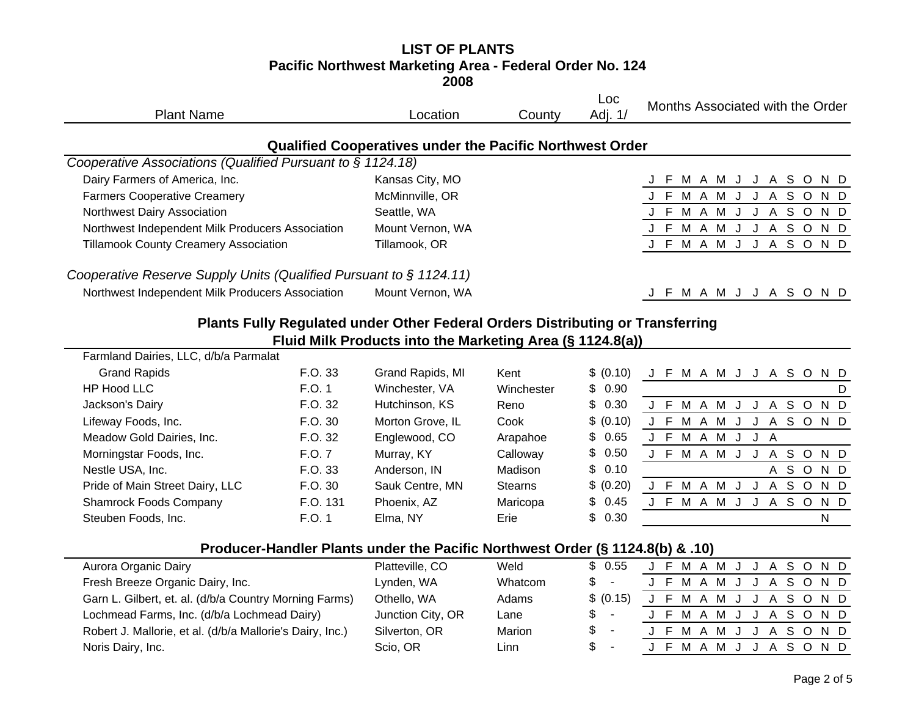#### **LIST OF PLANTS Pacific Northwest Marketing Area - Federal Order No. 124 2008**

| <b>Plant Name</b>                                                              | Location                                                        | County         | Loc<br>Adj. 1/ | Months Associated with the Order |
|--------------------------------------------------------------------------------|-----------------------------------------------------------------|----------------|----------------|----------------------------------|
|                                                                                | <b>Qualified Cooperatives under the Pacific Northwest Order</b> |                |                |                                  |
| Cooperative Associations (Qualified Pursuant to $\S$ 1124.18)                  |                                                                 |                |                |                                  |
| Dairy Farmers of America, Inc.                                                 | Kansas City, MO                                                 |                |                | M A M J J A S O N D<br>-F        |
| <b>Farmers Cooperative Creamery</b>                                            | McMinnville, OR                                                 |                |                | J F M A M J J A S O N D          |
| Northwest Dairy Association                                                    | Seattle, WA                                                     |                |                | J F M A M J J A S O N D          |
| Northwest Independent Milk Producers Association                               | Mount Vernon, WA                                                |                |                | J F M A M J J A S O N D          |
| <b>Tillamook County Creamery Association</b>                                   | Tillamook, OR                                                   |                |                | J F M A M J J A S O N D          |
| Cooperative Reserve Supply Units (Qualified Pursuant to § 1124.11)             |                                                                 |                |                |                                  |
| Northwest Independent Milk Producers Association                               | Mount Vernon, WA                                                |                |                | J F M A M J J A S O N D          |
| Plants Fully Regulated under Other Federal Orders Distributing or Transferring | Fluid Milk Products into the Marketing Area (§ 1124.8(a))       |                |                |                                  |
| Farmland Dairies, LLC, d/b/a Parmalat                                          |                                                                 |                |                |                                  |
| <b>Grand Rapids</b><br>F.O. 33                                                 | Grand Rapids, MI                                                | Kent           | \$ (0.10)      | J F M A M J J A S O N D          |
| <b>HP Hood LLC</b><br>F.O. 1                                                   | Winchester, VA                                                  | Winchester     | \$<br>0.90     | D                                |
| F.O. 32<br>Jackson's Dairy                                                     | Hutchinson, KS                                                  | Reno           | \$<br>0.30     | J F M A M J J A S O N D          |
| F.O. 30<br>Lifeway Foods, Inc.                                                 | Morton Grove, IL                                                | Cook           | \$ (0.10)      | J F M A M J J A S O N D          |
| F.O. 32<br>Meadow Gold Dairies, Inc.                                           | Englewood, CO                                                   | Arapahoe       | \$<br>0.65     | J F M A M J J A                  |
| F.O. 7<br>Morningstar Foods, Inc.                                              | Murray, KY                                                      | Calloway       | \$<br>0.50     | J F M A M J J A S O N D          |
| Nestle USA, Inc.<br>F.O. 33                                                    | Anderson, IN                                                    | Madison        | \$<br>0.10     | ASOND                            |
| Pride of Main Street Dairy, LLC<br>F.O. 30                                     | Sauk Centre, MN                                                 | <b>Stearns</b> | \$ (0.20)      | J F M A M J<br>J<br>ASOND        |
| <b>Shamrock Foods Company</b><br>F.O. 131                                      | Phoenix, AZ                                                     | Maricopa       | \$<br>0.45     | J F M A M J<br>A S O N D<br>J    |
| F.O. 1<br>Steuben Foods, Inc.                                                  | Elma, NY                                                        | Erie           | \$<br>0.30     | N                                |

## **Producer-Handler Plants under the Pacific Northwest Order (§ 1124.8(b) & .10)**

| Aurora Organic Dairy                                      | Platteville, CO   | Weld    | \$0.55    |  |  |  |  | J F M A M J J A S O N D |  |  |
|-----------------------------------------------------------|-------------------|---------|-----------|--|--|--|--|-------------------------|--|--|
| Fresh Breeze Organic Dairy, Inc.                          | Lynden, WA        | Whatcom | \$-       |  |  |  |  | J F M A M J J A S O N D |  |  |
| Garn L. Gilbert, et. al. (d/b/a Country Morning Farms)    | Othello, WA       | Adams   | \$ (0.15) |  |  |  |  | J F M A M J J A S O N D |  |  |
| Lochmead Farms, Inc. (d/b/a Lochmead Dairy)               | Junction City, OR | Lane    | $s -$     |  |  |  |  | J F M A M J J A S O N D |  |  |
| Robert J. Mallorie, et al. (d/b/a Mallorie's Dairy, Inc.) | Silverton, OR     | Marion  | $s -$     |  |  |  |  | J F M A M J J A S O N D |  |  |
| Noris Dairy, Inc.                                         | Scio, OR          | Linn    | $s -$     |  |  |  |  | J F M A M J J A S O N D |  |  |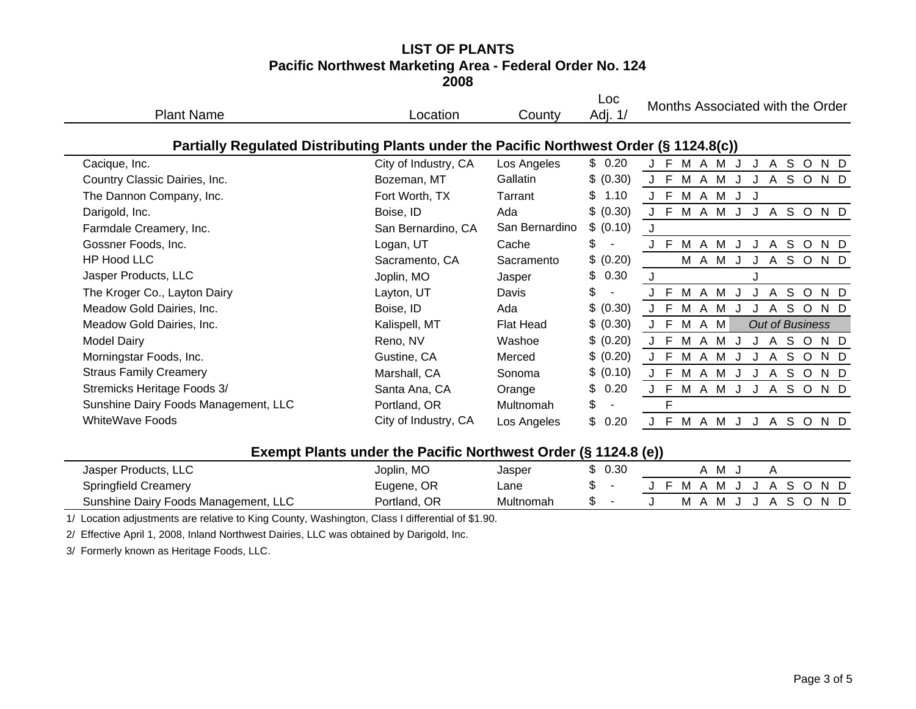### **LIST OF PLANTSPacific Northwest Marketing Area - Federal Order No. 124 2008**

| <b>Plant Name</b>                                                                       | Location             | County           | Loc<br>Adj. 1/ | Months Associated with the Order                        |
|-----------------------------------------------------------------------------------------|----------------------|------------------|----------------|---------------------------------------------------------|
| Partially Regulated Distributing Plants under the Pacific Northwest Order (§ 1124.8(c)) |                      |                  |                |                                                         |
| Cacique, Inc.                                                                           | City of Industry, CA | Los Angeles      | \$0.20         | M A M<br>S O<br>-F<br>$\mathsf{A}$<br>N D               |
| Country Classic Dairies, Inc.                                                           | Bozeman, MT          | Gallatin         | \$ (0.30)      | $J$ F<br>M<br>A M<br>A S O<br>N D                       |
| The Dannon Company, Inc.                                                                | Fort Worth, TX       | Tarrant          | \$<br>1.10     | J F<br>M<br>A M<br>IJ<br>J                              |
| Darigold, Inc.                                                                          | Boise, ID            | Ada              | \$ (0.30)      | E<br>M<br>M<br>S O<br>A<br>$\mathsf{A}$<br>N D<br>J     |
| Farmdale Creamery, Inc.                                                                 | San Bernardino, CA   | San Bernardino   | \$ (0.10)      | J                                                       |
| Gossner Foods, Inc.                                                                     | Logan, UT            | Cache            | \$             | M A M<br>S O<br>-F<br>A<br>N D<br>J<br>J                |
| HP Hood LLC                                                                             | Sacramento, CA       | Sacramento       | \$ (0.20)      | M A M J<br>SOND<br>$\mathsf{A}$<br>J                    |
| Jasper Products, LLC                                                                    | Joplin, MO           | Jasper           | \$<br>0.30     |                                                         |
| The Kroger Co., Layton Dairy                                                            | Layton, UT           | Davis            | \$             | E<br>M A M<br>S O<br>$\overline{A}$<br>N D              |
| Meadow Gold Dairies, Inc.                                                               | Boise, ID            | Ada              | \$ (0.30)      | J F<br>M<br>A M<br>S.<br>$\circ$<br>A<br>N D            |
| Meadow Gold Dairies, Inc.                                                               | Kalispell, MT        | <b>Flat Head</b> | \$ (0.30)      | J F M A M<br><b>Out of Business</b>                     |
| <b>Model Dairy</b>                                                                      | Reno, NV             | Washoe           | \$ (0.20)      | J F<br>M<br>S.<br>$\circ$<br>A M<br>$\mathsf{A}$<br>N D |
| Morningstar Foods, Inc.                                                                 | Gustine, CA          | Merced           | \$ (0.20)      | E<br>S<br>N D<br>м<br>$\circ$<br>A<br>м<br>A            |
| <b>Straus Family Creamery</b>                                                           | Marshall, CA         | Sonoma           | \$ (0.10)      | J F<br>M<br>A M<br>S O<br>$\mathsf{A}$<br>N D           |
| Stremicks Heritage Foods 3/                                                             | Santa Ana, CA        | Orange           | 0.20<br>\$     | J F<br>M A M<br>S O<br>N D<br>$\mathsf{A}$              |
| Sunshine Dairy Foods Management, LLC                                                    | Portland, OR         | Multnomah        | \$             | F                                                       |
| <b>WhiteWave Foods</b>                                                                  | City of Industry, CA | Los Angeles      | \$<br>0.20     | -F<br>S O<br>M A M<br>$\mathsf{A}$<br>N D               |

# **Exempt Plants under the Pacific Northwest Order (§ 1124.8 (e))**

|                                      |              |           | w         | . |   |    |  |           |  |     |  |
|--------------------------------------|--------------|-----------|-----------|---|---|----|--|-----------|--|-----|--|
| Jasper Products, LLC                 | Joplin, MO   | Jasper    | ሖ<br>0.30 |   |   | M  |  |           |  |     |  |
| <b>Springfield Creamery</b>          | Eugene, OR   | Lane      |           |   | M | M. |  | $\Lambda$ |  | N D |  |
| Sunshine Dairy Foods Management, LLC | Portland, OR | Multnomah | ъ         |   |   | M  |  |           |  | ND. |  |

1/ Location adjustments are relative to King County, Washington, Class I differential of \$1.90.

2/ Effective April 1, 2008, Inland Northwest Dairies, LLC was obtained by Darigold, Inc.

3/ Formerly known as Heritage Foods, LLC.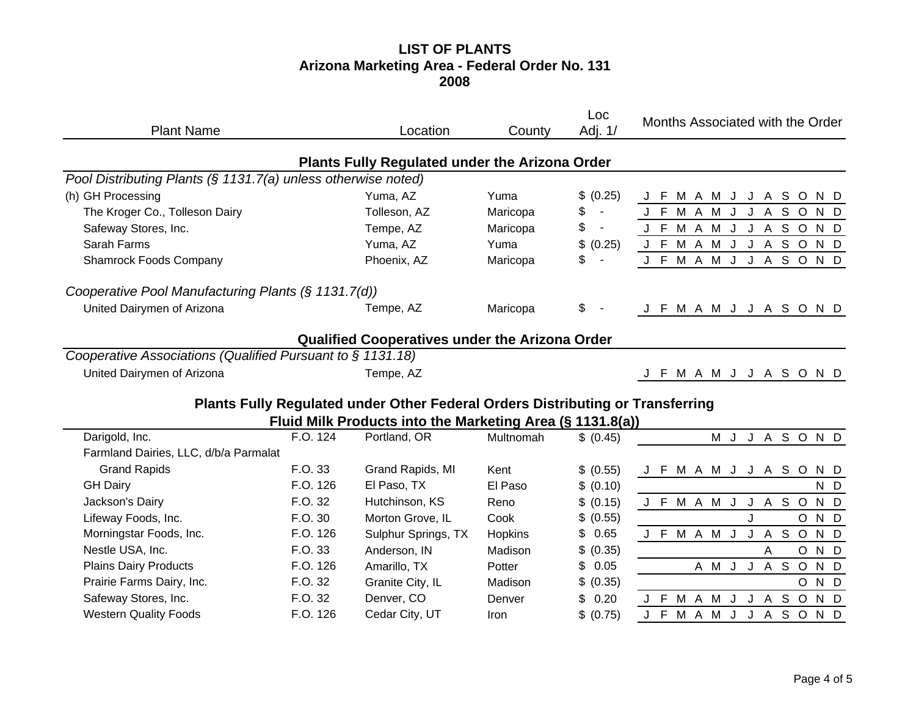# **LIST OF PLANTS Arizona Marketing Area - Federal Order No. 131 2008**

| <b>Plant Name</b>                                             |          | Location                                                                       | County    | Loc<br>Adj. 1/                 | Months Associated with the Order               |
|---------------------------------------------------------------|----------|--------------------------------------------------------------------------------|-----------|--------------------------------|------------------------------------------------|
|                                                               |          | Plants Fully Regulated under the Arizona Order                                 |           |                                |                                                |
| Pool Distributing Plants (§ 1131.7(a) unless otherwise noted) |          |                                                                                |           |                                |                                                |
| (h) GH Processing                                             |          | Yuma, AZ                                                                       | Yuma      | \$<br>(0.25)                   | J F<br>M A M J J A S O<br>N D                  |
| The Kroger Co., Tolleson Dairy                                |          | Tolleson, AZ                                                                   | Maricopa  | \$<br>$\overline{\phantom{a}}$ | J F M A M J<br>J A S O<br>N D                  |
| Safeway Stores, Inc.                                          |          | Tempe, AZ                                                                      | Maricopa  | \$<br>$\overline{\phantom{a}}$ | M A M<br>J A S O<br>J F<br>$\mathsf{J}$<br>N D |
| Sarah Farms                                                   |          | Yuma, AZ                                                                       | Yuma      | \$<br>(0.25)                   | J F M A M J J A S O N D                        |
| <b>Shamrock Foods Company</b>                                 |          | Phoenix, AZ                                                                    | Maricopa  | \$<br>$\blacksquare$           | J F M A M J<br>J A S O N D                     |
| Cooperative Pool Manufacturing Plants (§ 1131.7(d))           |          |                                                                                |           |                                |                                                |
| United Dairymen of Arizona                                    |          | Tempe, AZ                                                                      | Maricopa  | \$                             | J F M A M J J A S O N D                        |
|                                                               |          | <b>Qualified Cooperatives under the Arizona Order</b>                          |           |                                |                                                |
| Cooperative Associations (Qualified Pursuant to § 1131.18)    |          |                                                                                |           |                                |                                                |
| United Dairymen of Arizona                                    |          | Tempe, AZ                                                                      |           |                                | M A M J J A S O N D<br>J F                     |
|                                                               |          | Plants Fully Regulated under Other Federal Orders Distributing or Transferring |           |                                |                                                |
|                                                               |          | Fluid Milk Products into the Marketing Area (§ 1131.8(a))                      |           |                                |                                                |
| Darigold, Inc.                                                | F.O. 124 | Portland, OR                                                                   | Multnomah | \$ (0.45)                      | <b>M J J A S O N D</b>                         |
| Farmland Dairies, LLC, d/b/a Parmalat                         |          |                                                                                |           |                                |                                                |
| <b>Grand Rapids</b>                                           | F.O. 33  | Grand Rapids, MI                                                               | Kent      | \$ (0.55)                      | J F M A M J J A S<br>$\circ$<br>N D            |
| <b>GH Dairy</b>                                               | F.O. 126 | El Paso, TX                                                                    | El Paso   | \$ (0.10)                      | N D                                            |
| Jackson's Dairy                                               | F.O. 32  | Hutchinson, KS                                                                 | Reno      | \$ (0.15)                      | J A S O<br>N D<br>J F M A M J                  |
| Lifeway Foods, Inc.                                           | F.O. 30  | Morton Grove, IL                                                               | Cook      | \$ (0.55)                      | N D<br>J<br>$\circ$                            |
| Morningstar Foods, Inc.                                       | F.O. 126 | Sulphur Springs, TX                                                            | Hopkins   | \$<br>0.65                     | J F M A M J J A S O<br>N D                     |
| Nestle USA, Inc.                                              | F.O. 33  | Anderson, IN                                                                   | Madison   | \$ (0.35)                      | $\circ$<br>N D<br>A                            |
| <b>Plains Dairy Products</b>                                  | F.O. 126 | Amarillo, TX                                                                   | Potter    | \$<br>0.05                     | A M J J A S O<br>N D                           |
| Prairie Farms Dairy, Inc.                                     | F.O. 32  | Granite City, IL                                                               | Madison   | \$ (0.35)                      | $\circ$<br>N D                                 |
| Safeway Stores, Inc.                                          | F.O. 32  | Denver, CO                                                                     | Denver    | \$<br>0.20                     | J A S O<br>J F M A M J<br>N D                  |
| <b>Western Quality Foods</b>                                  | F.O. 126 | Cedar City, UT                                                                 | Iron      | \$ (0.75)                      | J F<br>M A M<br>J A S O<br>J<br>N D            |